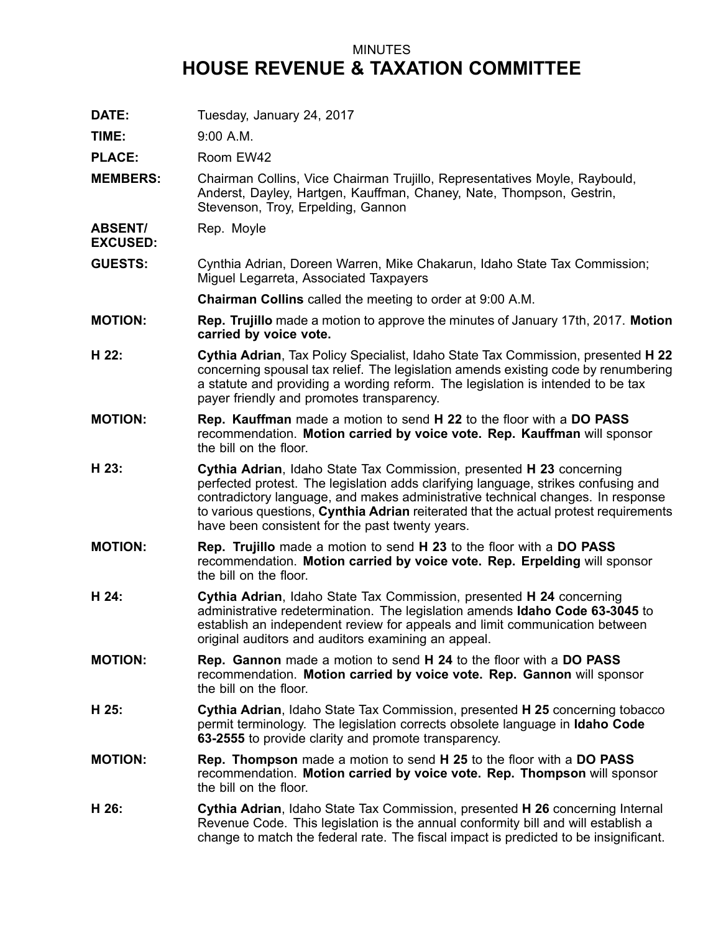## MINUTES **HOUSE REVENUE & TAXATION COMMITTEE**

**DATE:** Tuesday, January 24, 2017

**TIME:** 9:00 A.M.

PLACE: Room EW42

**MEMBERS:** Chairman Collins, Vice Chairman Trujillo, Representatives Moyle, Raybould, Anderst, Dayley, Hartgen, Kauffman, Chaney, Nate, Thompson, Gestrin, Stevenson, Troy, Erpelding, Gannon

**ABSENT/** Rep. Moyle

**EXCUSED:**

**GUESTS:** Cynthia Adrian, Doreen Warren, Mike Chakarun, Idaho State Tax Commission; Miguel Legarreta, Associated Taxpayers

**Chairman Collins** called the meeting to order at 9:00 A.M.

- **MOTION: Rep. Trujillo** made <sup>a</sup> motion to approve the minutes of January 17th, 2017. **Motion carried by voice vote.**
- **H 22: Cythia Adrian**, Tax Policy Specialist, Idaho State Tax Commission, presented **H 22** concerning spousal tax relief. The legislation amends existing code by renumbering <sup>a</sup> statute and providing <sup>a</sup> wording reform. The legislation is intended to be tax payer friendly and promotes transparency.
- **MOTION: Rep. Kauffman** made <sup>a</sup> motion to send **H 22** to the floor with <sup>a</sup> **DO PASS** recommendation. **Motion carried by voice vote. Rep. Kauffman** will sponsor the bill on the floor.
- **H 23: Cythia Adrian**, Idaho State Tax Commission, presented **H 23** concerning perfected protest. The legislation adds clarifying language, strikes confusing and contradictory language, and makes administrative technical changes. In response to various questions, **Cynthia Adrian** reiterated that the actual protest requirements have been consistent for the past twenty years.
- **MOTION: Rep. Trujillo** made <sup>a</sup> motion to send **H 23** to the floor with <sup>a</sup> **DO PASS** recommendation. **Motion carried by voice vote. Rep. Erpelding** will sponsor the bill on the floor.
- **H 24: Cythia Adrian**, Idaho State Tax Commission, presented **H 24** concerning administrative redetermination. The legislation amends **Idaho Code 63-3045** to establish an independent review for appeals and limit communication between original auditors and auditors examining an appeal.
- **MOTION: Rep. Gannon** made <sup>a</sup> motion to send **H 24** to the floor with <sup>a</sup> **DO PASS** recommendation. **Motion carried by voice vote. Rep. Gannon** will sponsor the bill on the floor.
- **H 25: Cythia Adrian**, Idaho State Tax Commission, presented **H 25** concerning tobacco permit terminology. The legislation corrects obsolete language in **Idaho Code 63-2555** to provide clarity and promote transparency.
- **MOTION: Rep. Thompson** made <sup>a</sup> motion to send **H 25** to the floor with <sup>a</sup> **DO PASS** recommendation. **Motion carried by voice vote. Rep. Thompson** will sponsor the bill on the floor.
- **H 26: Cythia Adrian**, Idaho State Tax Commission, presented **H 26** concerning Internal Revenue Code. This legislation is the annual conformity bill and will establish <sup>a</sup> change to match the federal rate. The fiscal impact is predicted to be insignificant.